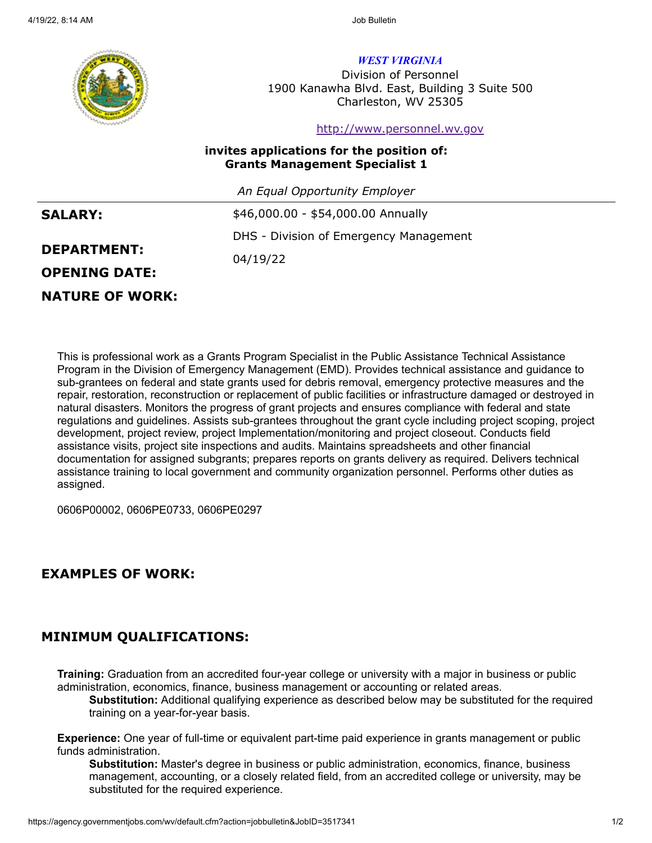

*WEST VIRGINIA*

Division of Personnel 1900 Kanawha Blvd. East, Building 3 Suite 500 Charleston, WV 25305

#### [http://www.personnel.wv.gov](http://www.personnel.wv.gov/)

#### **invites applications for the position of: Grants Management Specialist 1**

*An Equal Opportunity Employer*

| <b>SALARY:</b>       | \$46,000.00 - \$54,000.00 Annually     |
|----------------------|----------------------------------------|
|                      | DHS - Division of Emergency Management |
| <b>DEPARTMENT:</b>   | 04/19/22                               |
| <b>OPENING DATE:</b> |                                        |
|                      |                                        |

### **NATURE OF WORK:**

This is professional work as a Grants Program Specialist in the Public Assistance Technical Assistance Program in the Division of Emergency Management (EMD). Provides technical assistance and guidance to sub-grantees on federal and state grants used for debris removal, emergency protective measures and the repair, restoration, reconstruction or replacement of public facilities or infrastructure damaged or destroyed in natural disasters. Monitors the progress of grant projects and ensures compliance with federal and state regulations and guidelines. Assists sub-grantees throughout the grant cycle including project scoping, project development, project review, project Implementation/monitoring and project closeout. Conducts field assistance visits, project site inspections and audits. Maintains spreadsheets and other financial documentation for assigned subgrants; prepares reports on grants delivery as required. Delivers technical assistance training to local government and community organization personnel. Performs other duties as assigned.

0606P00002, 0606PE0733, 0606PE0297

## **EXAMPLES OF WORK:**

# **MINIMUM QUALIFICATIONS:**

**Training:** Graduation from an accredited four-year college or university with a major in business or public administration, economics, finance, business management or accounting or related areas.

**Substitution:** Additional qualifying experience as described below may be substituted for the required training on a year-for-year basis.

**Experience:** One year of full-time or equivalent part-time paid experience in grants management or public funds administration.

**Substitution:** Master's degree in business or public administration, economics, finance, business management, accounting, or a closely related field, from an accredited college or university, may be substituted for the required experience.